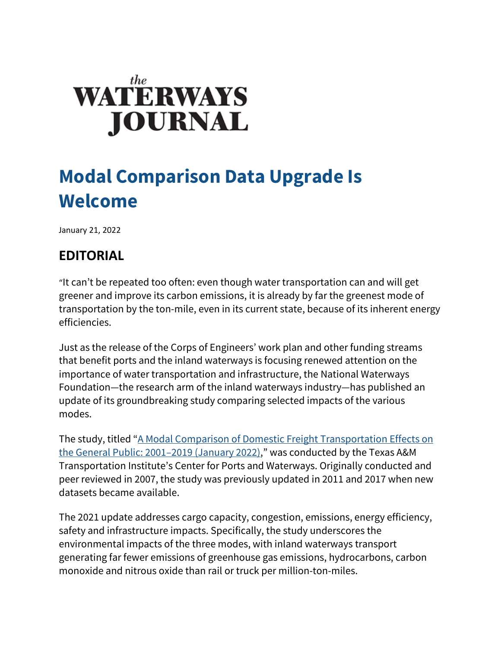## **WATERWAYS JOURNAL**

## **Modal Comparison Data Upgrade Is Welcome**

January 21, 2022

## **EDITORIAL**

"It can't be repeated too often: even though water transportation can and will get greener and improve its carbon emissions, it is already by far the greenest mode of transportation by the ton-mile, even in its current state, because of its inherent energy efficiencies.

Just as the release of the Corps of Engineers' work plan and other funding streams that benefit ports and the inland waterways is focusing renewed attention on the importance of water transportation and infrastructure, the National Waterways Foundation—the research arm of the inland waterways industry—has published an update of its groundbreaking study comparing selected impacts of the various modes.

The study, titled ["A Modal Comparison of Domestic Freight Transportation Effects on](http://www.nationalwaterwaysfoundation.org/study/TTI%202022%20FINAL%20Report%202001-2019%20(1).pdf)  [the General Public: 2001–2019 \(January 2022\),](http://www.nationalwaterwaysfoundation.org/study/TTI%202022%20FINAL%20Report%202001-2019%20(1).pdf)" was conducted by the Texas A&M Transportation Institute's Center for Ports and Waterways. Originally conducted and peer reviewed in 2007, the study was previously updated in 2011 and 2017 when new datasets became available.

The 2021 update addresses cargo capacity, congestion, emissions, energy efficiency, safety and infrastructure impacts. Specifically, the study underscores the environmental impacts of the three modes, with inland waterways transport generating far fewer emissions of greenhouse gas emissions, hydrocarbons, carbon monoxide and nitrous oxide than rail or truck per million-ton-miles.